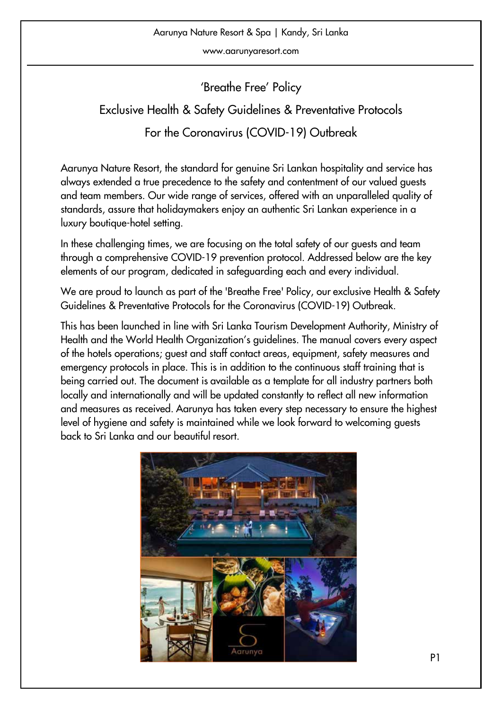www.aarunyaresort.com

'Breathe Free' Policy

Exclusive Health & Safety Guidelines & Preventative Protocols For the Coronavirus (COVID-19) Outbreak

Aarunya Nature Resort, the standard for genuine Sri Lankan hospitality and service has always extended a true precedence to the safety and contentment of our valued guests and team members. Our wide range of services, offered with an unparalleled quality of standards, assure that holidaymakers enjoy an authentic Sri Lankan experience in a luxury boutique-hotel setting.

In these challenging times, we are focusing on the total safety of our guests and team through a comprehensive COVID-19 prevention protocol. Addressed below are the key elements of our program, dedicated in safeguarding each and every individual.

We are proud to launch as part of the 'Breathe Free' Policy, our exclusive Health & Safety Guidelines & Preventative Protocols for the Coronavirus (COVID-19) Outbreak.

This has been launched in line with Sri Lanka Tourism Development Authority, Ministry of Health and the World Health Organization's guidelines. The manual covers every aspect of the hotels operations; guest and staff contact areas, equipment, safety measures and emergency protocols in place. This is in addition to the continuous staff training that is being carried out. The document is available as a template for all industry partners both locally and internationally and will be updated constantly to reflect all new information and measures as received. Aarunya has taken every step necessary to ensure the highest level of hygiene and safety is maintained while we look forward to welcoming guests back to Sri Lanka and our beautiful resort.

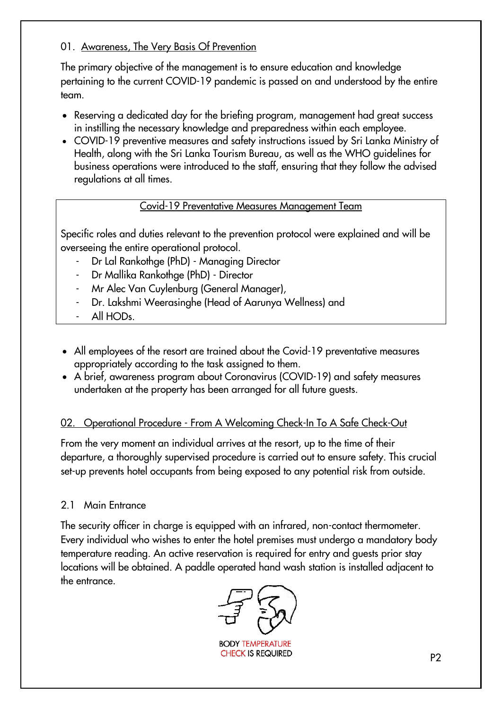#### 01. Awareness, The Very Basis Of Prevention

The primary objective of the management is to ensure education and knowledge pertaining to the current COVID-19 pandemic is passed on and understood by the entire team.

- Reserving a dedicated day for the briefing program, management had great success in instilling the necessary knowledge and preparedness within each employee.
- COVID-19 preventive measures and safety instructions issued by Sri Lanka Ministry of Health, along with the Sri Lanka Tourism Bureau, as well as the WHO guidelines for business operations were introduced to the staff, ensuring that they follow the advised regulations at all times.

## Covid-19 Preventative Measures Management Team

Specific roles and duties relevant to the prevention protocol were explained and will be overseeing the entire operational protocol.

- Dr Lal Rankothge (PhD) Managing Director
- Dr Mallika Rankothge (PhD) Director
- Mr Alec Van Cuylenburg (General Manager),
- Dr. Lakshmi Weerasinghe (Head of Aarunya Wellness) and
- All HOD<sub>s</sub>.
- All employees of the resort are trained about the Covid-19 preventative measures appropriately according to the task assigned to them.
- A brief, awareness program about Coronavirus (COVID-19) and safety measures undertaken at the property has been arranged for all future guests.

## 02. Operational Procedure - From A Welcoming Check-In To A Safe Check-Out

From the very moment an individual arrives at the resort, up to the time of their departure, a thoroughly supervised procedure is carried out to ensure safety. This crucial set-up prevents hotel occupants from being exposed to any potential risk from outside.

## 2.1 Main Entrance

The security officer in charge is equipped with an infrared, non-contact thermometer. Every individual who wishes to enter the hotel premises must undergo a mandatory body temperature reading. An active reservation is required for entry and guests prior stay locations will be obtained. A paddle operated hand wash station is installed adjacent to the entrance.



**BODY TEMPERATURE CHECK IS REQUIRED**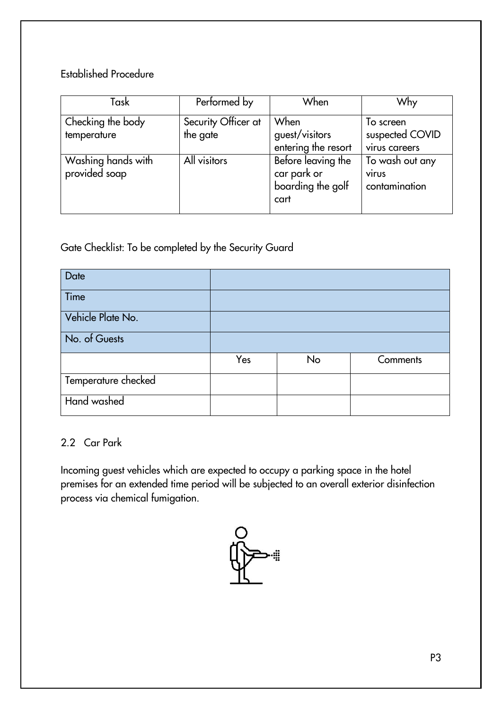## Established Procedure

| Task                                | Performed by                    | When                                                           | Why                                              |
|-------------------------------------|---------------------------------|----------------------------------------------------------------|--------------------------------------------------|
| Checking the body<br>temperature    | Security Officer at<br>the gate | When<br>guest/visitors<br>entering the resort                  | To screen<br>suspected COVID<br>virus careers    |
| Washing hands with<br>provided soap | All visitors                    | Before leaving the<br>car park or<br>boarding the golf<br>cart | To wash out any<br><b>VIIUS</b><br>contamination |

Gate Checklist: To be completed by the Security Guard

| Date                |     |    |          |
|---------------------|-----|----|----------|
| Time                |     |    |          |
| Vehicle Plate No.   |     |    |          |
| No. of Guests       |     |    |          |
|                     | Yes | No | Comments |
| Temperature checked |     |    |          |
| Hand washed         |     |    |          |

## 2.2 Car Park

Incoming guest vehicles which are expected to occupy a parking space in the hotel premises for an extended time period will be subjected to an overall exterior disinfection process via chemical fumigation.

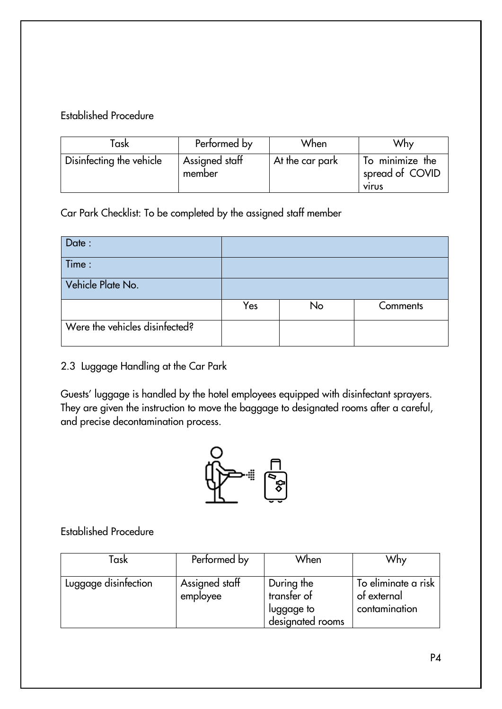## Established Procedure

| íask                     | Performed by             | When            | Why                                                |
|--------------------------|--------------------------|-----------------|----------------------------------------------------|
| Disinfecting the vehicle | Assigned staff<br>member | At the car park | To minimize the<br>spread of COVID<br><b>VIIUS</b> |

Car Park Checklist: To be completed by the assigned staff member

| Date:                          |     |    |          |
|--------------------------------|-----|----|----------|
| Time:                          |     |    |          |
| Vehicle Plate No.              |     |    |          |
|                                | Yes | No | Comments |
| Were the vehicles disinfected? |     |    |          |

## 2.3 Luggage Handling at the Car Park

Guests' luggage is handled by the hotel employees equipped with disinfectant sprayers. They are given the instruction to move the baggage to designated rooms after a careful, and precise decontamination process.



## Established Procedure

| Task                 | Performed by               | When                                                        | Why                                                 |
|----------------------|----------------------------|-------------------------------------------------------------|-----------------------------------------------------|
| Luggage disinfection | Assigned staff<br>employee | During the<br>transfer of<br>luggage to<br>designated rooms | To eliminate a risk<br>of external<br>contamination |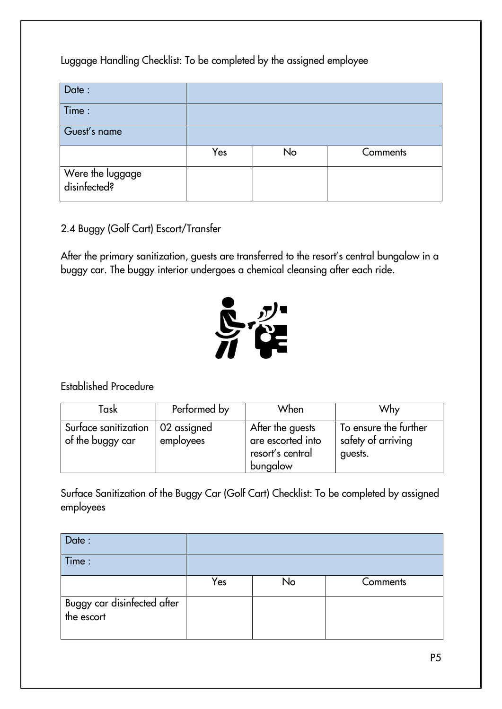Luggage Handling Checklist: To be completed by the assigned employee

| Date:                            |     |    |          |
|----------------------------------|-----|----|----------|
| Time:                            |     |    |          |
| Guest's name                     |     |    |          |
|                                  | Yes | No | Comments |
| Were the luggage<br>disinfected? |     |    |          |

## 2.4 Buggy (Golf Cart) Escort/Transfer

After the primary sanitization, guests are transferred to the resort's central bungalow in a buggy car. The buggy interior undergoes a chemical cleansing after each ride.



Established Procedure

| Task                                                   | Performed by | When                                                                  | Why                                                    |
|--------------------------------------------------------|--------------|-----------------------------------------------------------------------|--------------------------------------------------------|
| Surface sanitization   02 assigned<br>of the buggy car | employees    | After the guests<br>are escorted into<br>resort's central<br>bungalow | To ensure the further<br>safety of arriving<br>guests. |

Surface Sanitization of the Buggy Car (Golf Cart) Checklist: To be completed by assigned employees

| Date:                                     |     |    |          |
|-------------------------------------------|-----|----|----------|
| Time:                                     |     |    |          |
|                                           | Yes | No | Comments |
| Buggy car disinfected after<br>the escort |     |    |          |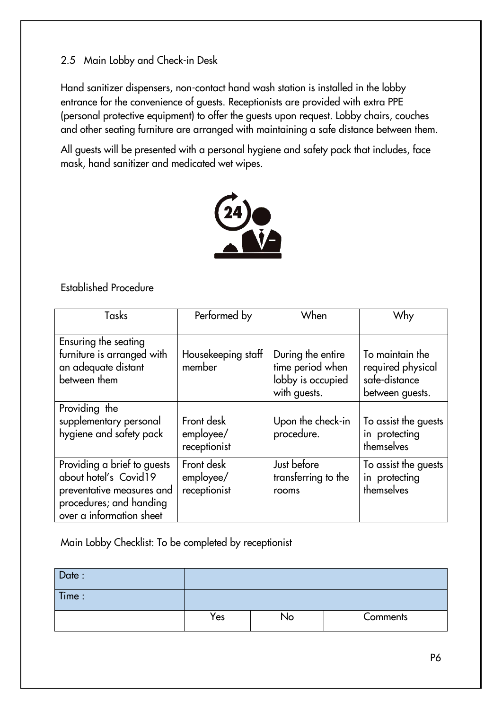## 2.5 Main Lobby and Check-in Desk

Hand sanitizer dispensers, non-contact hand wash station is installed in the lobby entrance for the convenience of guests. Receptionists are provided with extra PPE (personal protective equipment) to offer the guests upon request. Lobby chairs, couches and other seating furniture are arranged with maintaining a safe distance between them.

All guests will be presented with a personal hygiene and safety pack that includes, face mask, hand sanitizer and medicated wet wipes.



Established Procedure

| Tasks                                                                                                                                    | Performed by                            | When                                                                       | Why                                                                      |
|------------------------------------------------------------------------------------------------------------------------------------------|-----------------------------------------|----------------------------------------------------------------------------|--------------------------------------------------------------------------|
| Ensuring the seating<br>furniture is arranged with<br>an adequate distant<br>between them                                                | Housekeeping staff<br>member            | During the entire<br>time period when<br>lobby is occupied<br>with guests. | To maintain the<br>required physical<br>safe-distance<br>between guests. |
| Providing the<br>supplementary personal<br>hygiene and safety pack                                                                       | Front desk<br>employee/<br>receptionist | Upon the check-in<br>procedure.                                            | To assist the guests<br>in protecting<br>themselves                      |
| Providing a brief to guests<br>about hotel's Covid19<br>preventative measures and<br>procedures; and handing<br>over a information sheet | Front desk<br>employee/<br>receptionist | Just before<br>transferring to the<br>rooms                                | To assist the guests<br>in protecting<br>themselves                      |

Main Lobby Checklist: To be completed by receptionist

| Date:  |     |    |          |
|--------|-----|----|----------|
| Time : |     |    |          |
|        | Yes | No | Comments |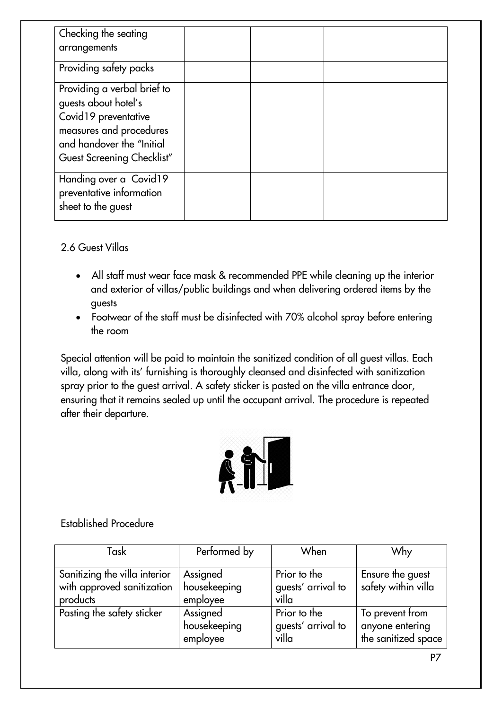| Checking the seating<br>arrangements                                                                                                                              |  |  |
|-------------------------------------------------------------------------------------------------------------------------------------------------------------------|--|--|
| Providing safety packs                                                                                                                                            |  |  |
| Providing a verbal brief to<br>guests about hotel's<br>Covid19 preventative<br>measures and procedures<br>and handover the "Initial<br>Guest Screening Checklist" |  |  |
| Handing over a Covid19<br>preventative information<br>sheet to the guest                                                                                          |  |  |

2.6 Guest Villas

- All staff must wear face mask & recommended PPE while cleaning up the interior and exterior of villas/public buildings and when delivering ordered items by the guests
- Footwear of the staff must be disinfected with 70% alcohol spray before entering the room

Special attention will be paid to maintain the sanitized condition of all guest villas. Each villa, along with its' furnishing is thoroughly cleansed and disinfected with sanitization spray prior to the guest arrival. A safety sticker is pasted on the villa entrance door, ensuring that it remains sealed up until the occupant arrival. The procedure is repeated after their departure.



Established Procedure

| Task                                                                    | Performed by                         | When                                        | Why                                                       |
|-------------------------------------------------------------------------|--------------------------------------|---------------------------------------------|-----------------------------------------------------------|
| Sanitizing the villa interior<br>with approved sanitization<br>products | Assigned<br>housekeeping<br>employee | Prior to the<br>guests' arrival to<br>villa | Ensure the guest<br>safety within villa                   |
| Pasting the safety sticker                                              | Assigned<br>housekeeping<br>employee | Prior to the<br>guests' arrival to<br>villa | To prevent from<br>anyone entering<br>the sanitized space |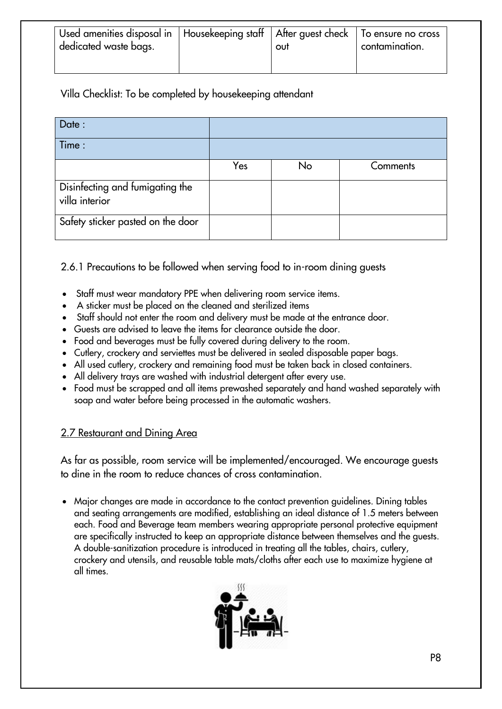| Used amenities disposal in   Housekeeping staff   After guest check   To ensure no cross<br>dedicated waste bags. | out | contamination. |
|-------------------------------------------------------------------------------------------------------------------|-----|----------------|
|                                                                                                                   |     |                |

Villa Checklist: To be completed by housekeeping attendant

| Date:                                             |     |    |          |
|---------------------------------------------------|-----|----|----------|
| Time:                                             |     |    |          |
|                                                   | Yes | No | Comments |
| Disinfecting and fumigating the<br>villa interior |     |    |          |
| Safety sticker pasted on the door                 |     |    |          |

2.6.1 Precautions to be followed when serving food to in-room dining guests

- Staff must wear mandatory PPE when delivering room service items.
- A sticker must be placed on the cleaned and sterilized items
- Staff should not enter the room and delivery must be made at the entrance door.
- Guests are advised to leave the items for clearance outside the door.
- Food and beverages must be fully covered during delivery to the room.
- Cutlery, crockery and serviettes must be delivered in sealed disposable paper bags.
- All used cutlery, crockery and remaining food must be taken back in closed containers.
- All delivery trays are washed with industrial detergent after every use.
- Food must be scrapped and all items prewashed separately and hand washed separately with soap and water before being processed in the automatic washers.

#### 2.7 Restaurant and Dining Area

As far as possible, room service will be implemented/encouraged. We encourage guests to dine in the room to reduce chances of cross contamination.

 Major changes are made in accordance to the contact prevention guidelines. Dining tables and seating arrangements are modified, establishing an ideal distance of 1.5 meters between each. Food and Beverage team members wearing appropriate personal protective equipment are specifically instructed to keep an appropriate distance between themselves and the guests. A double-sanitization procedure is introduced in treating all the tables, chairs, cutlery, crockery and utensils, and reusable table mats/cloths after each use to maximize hygiene at all times.

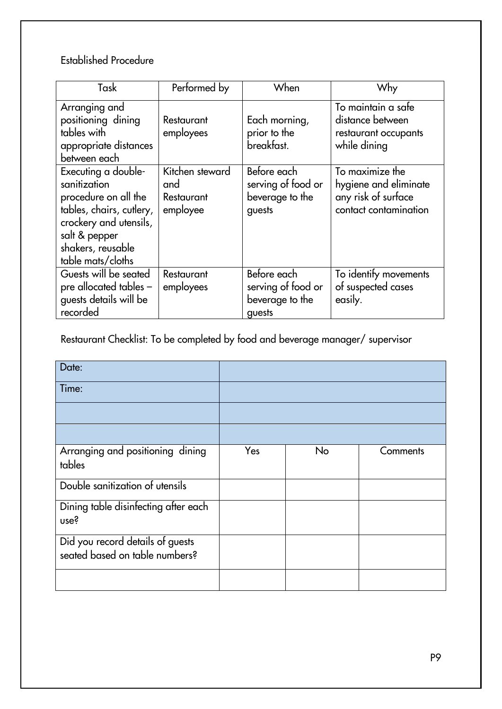## Established Procedure

| Task                                                                                                                                                                         | Performed by                                     | When                                                           | Why                                                                                      |
|------------------------------------------------------------------------------------------------------------------------------------------------------------------------------|--------------------------------------------------|----------------------------------------------------------------|------------------------------------------------------------------------------------------|
| Arranging and<br>positioning dining<br>tables with<br>appropriate distances<br>between each                                                                                  | Restaurant<br>employees                          | Each morning,<br>prior to the<br>breakfast.                    | To maintain a safe<br>distance between<br>restaurant occupants<br>while dining           |
| Executing a double-<br>sanitization<br>procedure on all the<br>tables, chairs, cutlery,<br>crockery and utensils,<br>salt & pepper<br>shakers, reusable<br>table mats/cloths | Kitchen steward<br>and<br>Restaurant<br>employee | Before each<br>serving of food or<br>beverage to the<br>guests | To maximize the<br>hygiene and eliminate<br>any risk of surface<br>contact contamination |
| Guests will be seated<br>pre allocated tables -<br>guests details will be<br>recorded                                                                                        | Restaurant<br>employees                          | Before each<br>serving of food or<br>beverage to the<br>guests | To identify movements<br>of suspected cases<br>easily.                                   |

Restaurant Checklist: To be completed by food and beverage manager/ supervisor

| Date:                                                              |     |    |          |
|--------------------------------------------------------------------|-----|----|----------|
| Time:                                                              |     |    |          |
|                                                                    |     |    |          |
|                                                                    |     |    |          |
| Arranging and positioning dining<br>tables                         | Yes | No | Comments |
| Double sanitization of utensils                                    |     |    |          |
| Dining table disinfecting after each<br>use?                       |     |    |          |
| Did you record details of guests<br>seated based on table numbers? |     |    |          |
|                                                                    |     |    |          |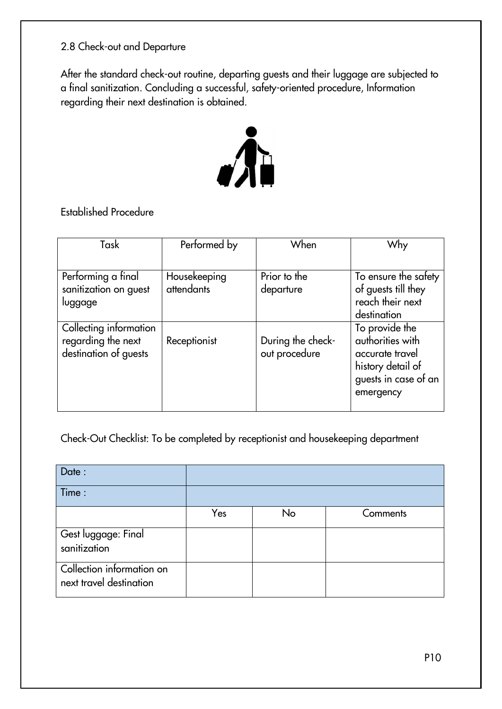## 2.8 Check-out and Departure

After the standard check-out routine, departing guests and their luggage are subjected to a final sanitization. Concluding a successful, safety-oriented procedure, Information regarding their next destination is obtained.



Established Procedure

| Task                                                                  | Performed by               | When                               | Why                                                                                                             |
|-----------------------------------------------------------------------|----------------------------|------------------------------------|-----------------------------------------------------------------------------------------------------------------|
|                                                                       |                            |                                    |                                                                                                                 |
| Performing a final<br>sanitization on guest<br>luggage                | Housekeeping<br>attendants | Prior to the<br>departure          | To ensure the safety<br>of guests till they<br>reach their next<br>destination                                  |
| Collecting information<br>regarding the next<br>destination of guests | Receptionist               | During the check-<br>out procedure | To provide the<br>authorities with<br>accurate travel<br>history detail of<br>guests in case of an<br>emergency |

Check-Out Checklist: To be completed by receptionist and housekeeping department

| Date:                                                |     |    |          |
|------------------------------------------------------|-----|----|----------|
| Time:                                                |     |    |          |
|                                                      | Yes | No | Comments |
| Gest luggage: Final<br>sanitization                  |     |    |          |
| Collection information on<br>next travel destination |     |    |          |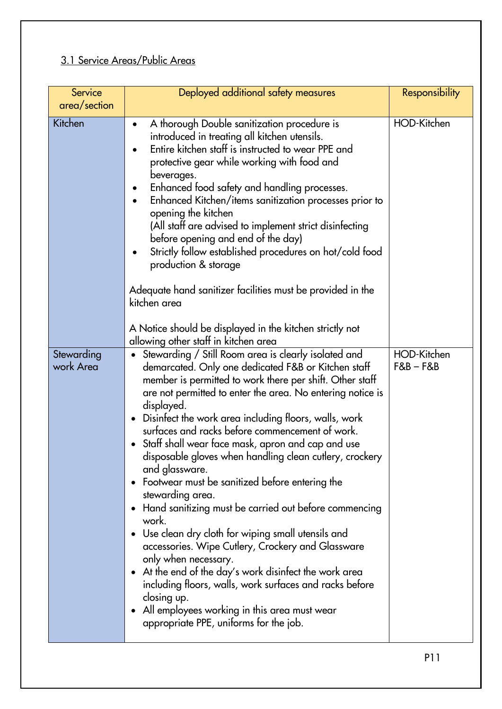# 3.1 Service Areas/Public Areas

| Service<br>area/section | Deployed additional safety measures                                                                                                                                                                                                                                                                                                                                                                                                                                                                                                                                                                                                                                                                                                                                                                                                                                                                                                                                                                       | <b>Responsibility</b>      |
|-------------------------|-----------------------------------------------------------------------------------------------------------------------------------------------------------------------------------------------------------------------------------------------------------------------------------------------------------------------------------------------------------------------------------------------------------------------------------------------------------------------------------------------------------------------------------------------------------------------------------------------------------------------------------------------------------------------------------------------------------------------------------------------------------------------------------------------------------------------------------------------------------------------------------------------------------------------------------------------------------------------------------------------------------|----------------------------|
| Kitchen                 | A thorough Double sanitization procedure is<br>$\bullet$<br>introduced in treating all kitchen utensils.<br>Entire kitchen staff is instructed to wear PPE and<br>protective gear while working with food and<br>beverages.<br>Enhanced food safety and handling processes.<br>Enhanced Kitchen/items sanitization processes prior to<br>opening the kitchen<br>(All staff are advised to implement strict disinfecting<br>before opening and end of the day)<br>Strictly follow established procedures on hot/cold food<br>production & storage<br>Adequate hand sanitizer facilities must be provided in the<br>kitchen area<br>A Notice should be displayed in the kitchen strictly not<br>allowing other staff in kitchen area                                                                                                                                                                                                                                                                        | HOD-Kitchen                |
| Stewarding<br>work Area | Stewarding / Still Room area is clearly isolated and<br>demarcated. Only one dedicated F&B or Kitchen staff<br>member is permitted to work there per shift. Other staff<br>are not permitted to enter the area. No entering notice is<br>displayed.<br>Disinfect the work area including floors, walls, work<br>surfaces and racks before commencement of work.<br>Staff shall wear face mask, apron and cap and use<br>disposable gloves when handling clean cutlery, crockery<br>and glassware.<br>Footwear must be sanitized before entering the<br>stewarding area.<br>Hand sanitizing must be carried out before commencing<br>work.<br>Use clean dry cloth for wiping small utensils and<br>accessories. Wipe Cutlery, Crockery and Glassware<br>only when necessary.<br>• At the end of the day's work disinfect the work area<br>including floors, walls, work surfaces and racks before<br>closing up.<br>All employees working in this area must wear<br>appropriate PPE, uniforms for the job. | HOD-Kitchen<br>$F&B - F&B$ |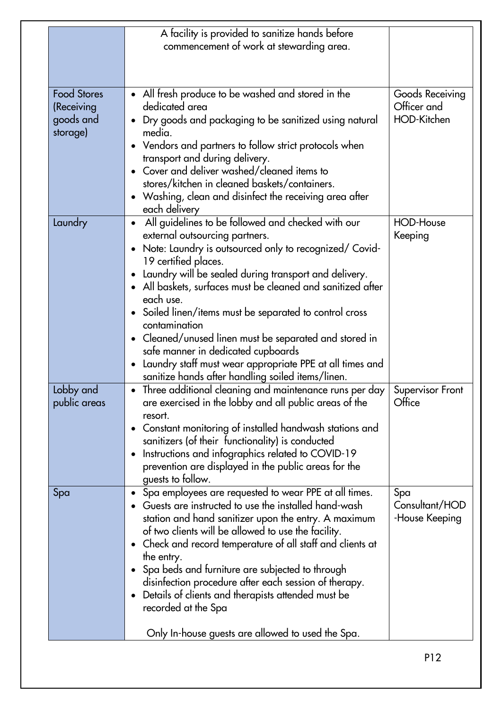|                                                           | A facility is provided to sanitize hands before<br>commencement of work at stewarding area.                                                                                                                                                                                                                                                                                                                                                                                                                                                                                                                         |                                               |
|-----------------------------------------------------------|---------------------------------------------------------------------------------------------------------------------------------------------------------------------------------------------------------------------------------------------------------------------------------------------------------------------------------------------------------------------------------------------------------------------------------------------------------------------------------------------------------------------------------------------------------------------------------------------------------------------|-----------------------------------------------|
| <b>Food Stores</b><br>(Receiving<br>goods and<br>storage) | • All fresh produce to be washed and stored in the<br>dedicated area<br>Dry goods and packaging to be sanitized using natural<br>media.<br>• Vendors and partners to follow strict protocols when<br>transport and during delivery.<br>Cover and deliver washed/cleaned items to<br>stores/kitchen in cleaned baskets/containers.<br>• Washing, clean and disinfect the receiving area after<br>each delivery                                                                                                                                                                                                       | Goods Receiving<br>Officer and<br>HOD-Kitchen |
| Laundry                                                   | All guidelines to be followed and checked with our<br>external outsourcing partners.<br>Note: Laundry is outsourced only to recognized/ Covid-<br>19 certified places.<br>Laundry will be sealed during transport and delivery.<br>$\bullet$<br>• All baskets, surfaces must be cleaned and sanitized after<br>each use.<br>Soiled linen/items must be separated to control cross<br>contamination<br>• Cleaned/unused linen must be separated and stored in<br>safe manner in dedicated cupboards<br>Laundry staff must wear appropriate PPE at all times and<br>sanitize hands after handling soiled items/linen. | <b>HOD-House</b><br>Keeping                   |
| Lobby and<br>public areas                                 | Three additional cleaning and maintenance runs per day<br>are exercised in the lobby and all public areas of the<br>resort.<br>Constant monitoring of installed handwash stations and<br>sanitizers (of their functionality) is conducted<br>Instructions and infographics related to COVID-19<br>prevention are displayed in the public areas for the<br>guests to follow.                                                                                                                                                                                                                                         | Supervisor Front<br>Office                    |
| Spa                                                       | Spa employees are requested to wear PPE at all times.<br>Guests are instructed to use the installed hand-wash<br>station and hand sanitizer upon the entry. A maximum<br>of two clients will be allowed to use the facility.<br>Check and record temperature of all staff and clients at<br>the entry.<br>Spa beds and furniture are subjected to through<br>disinfection procedure after each session of therapy.<br>Details of clients and therapists attended must be<br>recorded at the Spa<br>Only In-house guests are allowed to used the Spa.                                                                | Spa<br>Consultant/HOD<br>-House Keeping       |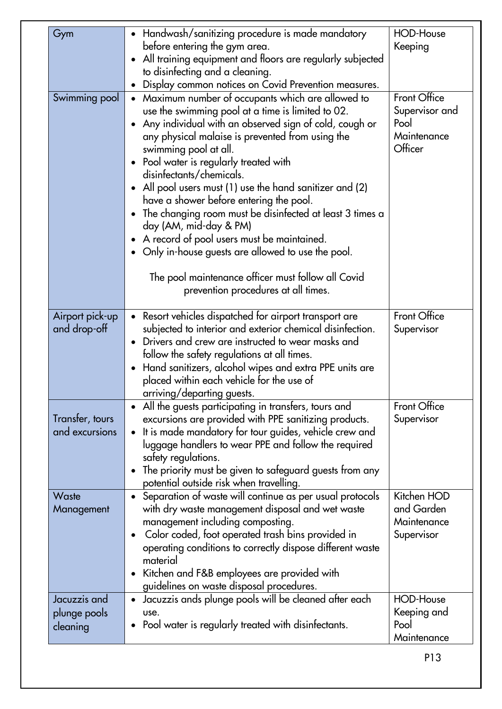| Gym             | • Handwash/sanitizing procedure is made mandatory                                                 | <b>HOD-House</b> |
|-----------------|---------------------------------------------------------------------------------------------------|------------------|
|                 | before entering the gym area.                                                                     | Keeping          |
|                 | All training equipment and floors are regularly subjected                                         |                  |
|                 | to disinfecting and a cleaning.                                                                   |                  |
|                 | Display common notices on Covid Prevention measures.                                              |                  |
| Swimming pool   | • Maximum number of occupants which are allowed to                                                | Front Office     |
|                 | use the swimming pool at a time is limited to 02.                                                 | Supervisor and   |
|                 | Any individual with an observed sign of cold, cough or                                            | Pool             |
|                 | any physical malaise is prevented from using the                                                  | Maintenance      |
|                 | swimming pool at all.                                                                             | Officer          |
|                 | • Pool water is regularly treated with                                                            |                  |
|                 | disinfectants/chemicals.                                                                          |                  |
|                 | All pool users must (1) use the hand sanitizer and (2)                                            |                  |
|                 | have a shower before entering the pool.                                                           |                  |
|                 | The changing room must be disinfected at least 3 times a                                          |                  |
|                 | day (AM, mid-day & PM)                                                                            |                  |
|                 | A record of pool users must be maintained.                                                        |                  |
|                 | Only in-house guests are allowed to use the pool.                                                 |                  |
|                 | The pool maintenance officer must follow all Covid                                                |                  |
|                 | prevention procedures at all times.                                                               |                  |
|                 |                                                                                                   |                  |
| Airport pick-up | • Resort vehicles dispatched for airport transport are                                            | Front Office     |
| and drop-off    | subjected to interior and exterior chemical disinfection.                                         | Supervisor       |
|                 | Drivers and crew are instructed to wear masks and                                                 |                  |
|                 | follow the safety regulations at all times.                                                       |                  |
|                 | Hand sanitizers, alcohol wipes and extra PPE units are                                            |                  |
|                 | placed within each vehicle for the use of                                                         |                  |
|                 | arriving/departing guests.                                                                        |                  |
|                 | All the guests participating in transfers, tours and                                              | Front Office     |
| Transter, tours | excursions are provided with PPE sanitizing products.                                             | Supervisor       |
| and excursions  | It is made mandatory for tour guides, vehicle crew and                                            |                  |
|                 | luggage handlers to wear PPE and follow the required                                              |                  |
|                 | safety regulations.                                                                               |                  |
|                 | The priority must be given to safeguard guests from any<br>$\bullet$                              |                  |
|                 | potential outside risk when travelling.                                                           |                  |
| Waste           | Separation of waste will continue as per usual protocols                                          | Kitchen HOD      |
| Management      | with dry waste management disposal and wet waste                                                  | and Garden       |
|                 | management including composting.                                                                  | Maintenance      |
|                 | Color coded, foot operated trash bins provided in<br>$\bullet$                                    | Supervisor       |
|                 | operating conditions to correctly dispose different waste                                         |                  |
|                 | material                                                                                          |                  |
|                 | Kitchen and F&B employees are provided with<br>$\bullet$                                          |                  |
| Jacuzzis and    | guidelines on waste disposal procedures.<br>Jacuzzis ands plunge pools will be cleaned after each | <b>HOD-House</b> |
|                 | $\bullet$<br>use.                                                                                 | Keeping and      |
| plunge pools    | Pool water is regularly treated with disinfectants.<br>$\bullet$                                  | Pool             |
| cleaning        |                                                                                                   | Maintenance      |
|                 |                                                                                                   |                  |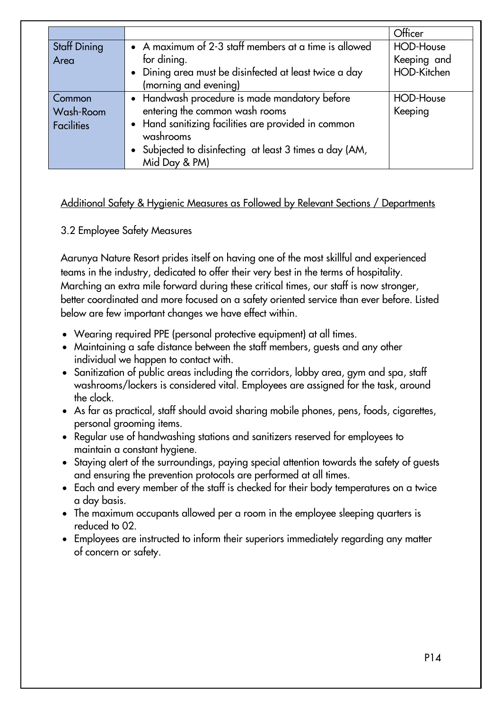|                     |                                                         | Officer          |
|---------------------|---------------------------------------------------------|------------------|
| <b>Staff Dining</b> | • A maximum of 2-3 staff members at a time is allowed   | <b>HOD-House</b> |
| Area                | for dining.                                             | Keeping and      |
|                     | • Dining area must be disinfected at least twice a day  | HOD-Kitchen      |
|                     | (morning and evening)                                   |                  |
| Common              | • Handwash procedure is made mandatory before           | <b>HOD-House</b> |
| Wash-Room           | entering the common wash rooms                          | Keeping          |
| <b>Facilities</b>   | • Hand sanitizing facilities are provided in common     |                  |
|                     | washrooms                                               |                  |
|                     | • Subjected to disinfecting at least 3 times a day (AM, |                  |
|                     | Mid Day & PM)                                           |                  |

#### Additional Safety & Hygienic Measures as Followed by Relevant Sections / Departments

#### 3.2 Employee Safety Measures

Aarunya Nature Resort prides itself on having one of the most skillful and experienced teams in the industry, dedicated to offer their very best in the terms of hospitality. Marching an extra mile forward during these critical times, our staff is now stronger, better coordinated and more focused on a safety oriented service than ever before. Listed below are few important changes we have effect within.

- Wearing required PPE (personal protective equipment) at all times.
- Maintaining a safe distance between the staff members, guests and any other individual we happen to contact with.
- Sanitization of public areas including the corridors, lobby area, gym and spa, staff washrooms/lockers is considered vital. Employees are assigned for the task, around the clock.
- As far as practical, staff should avoid sharing mobile phones, pens, foods, cigarettes, personal grooming items.
- Regular use of handwashing stations and sanitizers reserved for employees to maintain a constant hygiene.
- Staying alert of the surroundings, paying special attention towards the safety of quests and ensuring the prevention protocols are performed at all times.
- Each and every member of the staff is checked for their body temperatures on a twice a day basis.
- The maximum occupants allowed per a room in the employee sleeping quarters is reduced to 02.
- Employees are instructed to inform their superiors immediately regarding any matter of concern or safety.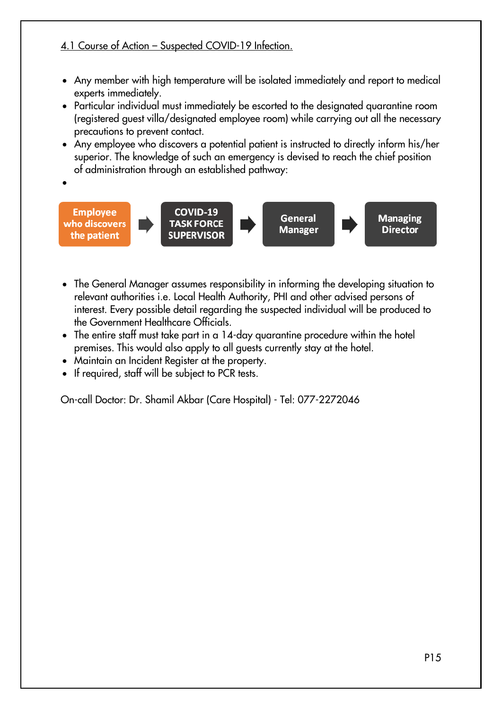#### 4.1 Course of Action – Suspected COVID-19 Infection.

- Any member with high temperature will be isolated immediately and report to medical experts immediately.
- Particular individual must immediately be escorted to the designated quarantine room (registered guest villa/designated employee room) while carrying out all the necessary precautions to prevent contact.
- Any employee who discovers a potential patient is instructed to directly inform his/her superior. The knowledge of such an emergency is devised to reach the chief position of administration through an established pathway:
- **Employee** COVID-19 General **Managing** who discovers **TASK FORCE Manager Director** the patient **SUPERVISOR** 
	- The General Manager assumes responsibility in informing the developing situation to relevant authorities i.e. Local Health Authority, PHI and other advised persons of interest. Every possible detail regarding the suspected individual will be produced to the Government Healthcare Officials.
	- The entire staff must take part in a 14-day quarantine procedure within the hotel premises. This would also apply to all guests currently stay at the hotel.
	- Maintain an Incident Register at the property.
	- If required, staff will be subject to PCR tests.

 $\bullet$ 

On-call Doctor: Dr. Shamil Akbar (Care Hospital) - Tel: 077-2272046